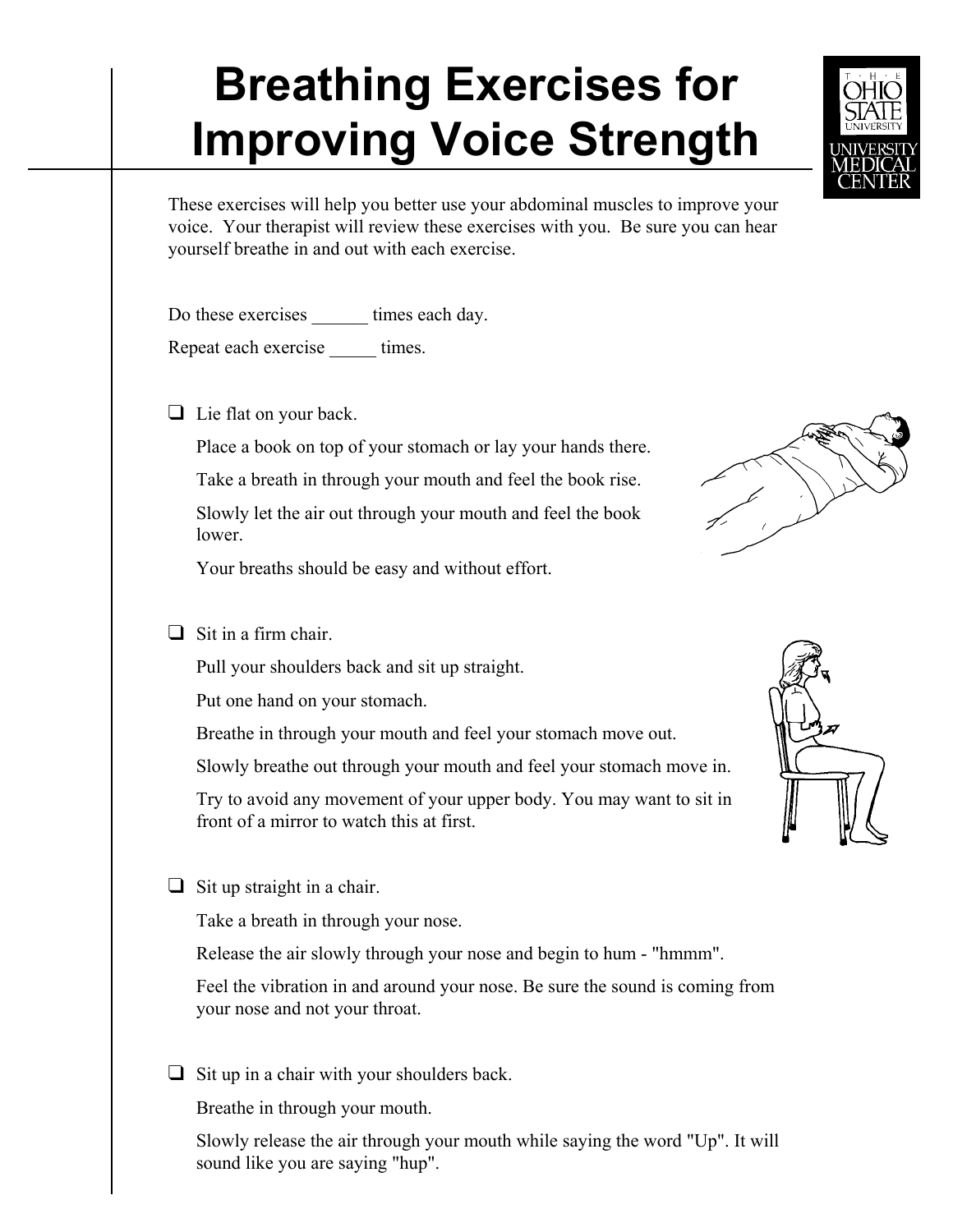## **Breathing Exercises for Improving Voice Strength**

These exercises will help you better use your abdominal muscles to improve your voice. Your therapist will review these exercises with you. Be sure you can hear yourself breathe in and out with each exercise.

Do these exercises \_\_\_\_\_\_ times each day.

Repeat each exercise times.

 $\Box$  Lie flat on your back.

Place a book on top of your stomach or lay your hands there.

Take a breath in through your mouth and feel the book rise. Slowly let the air out through your mouth and feel the book lower.

Your breaths should be easy and without effort.

 $\Box$  Sit in a firm chair.

Pull your shoulders back and sit up straight.

Put one hand on your stomach.

Breathe in through your mouth and feel your stomach move out.

Slowly breathe out through your mouth and feel your stomach move in.

Try to avoid any movement of your upper body. You may want to sit in front of a mirror to watch this at first.

 $\Box$  Sit up straight in a chair.

Take a breath in through your nose.

Release the air slowly through your nose and begin to hum - "hmmm".

Feel the vibration in and around your nose. Be sure the sound is coming from your nose and not your throat.

 $\Box$  Sit up in a chair with your shoulders back.

Breathe in through your mouth.

Slowly release the air through your mouth while saying the word "Up". It will sound like you are saying "hup".